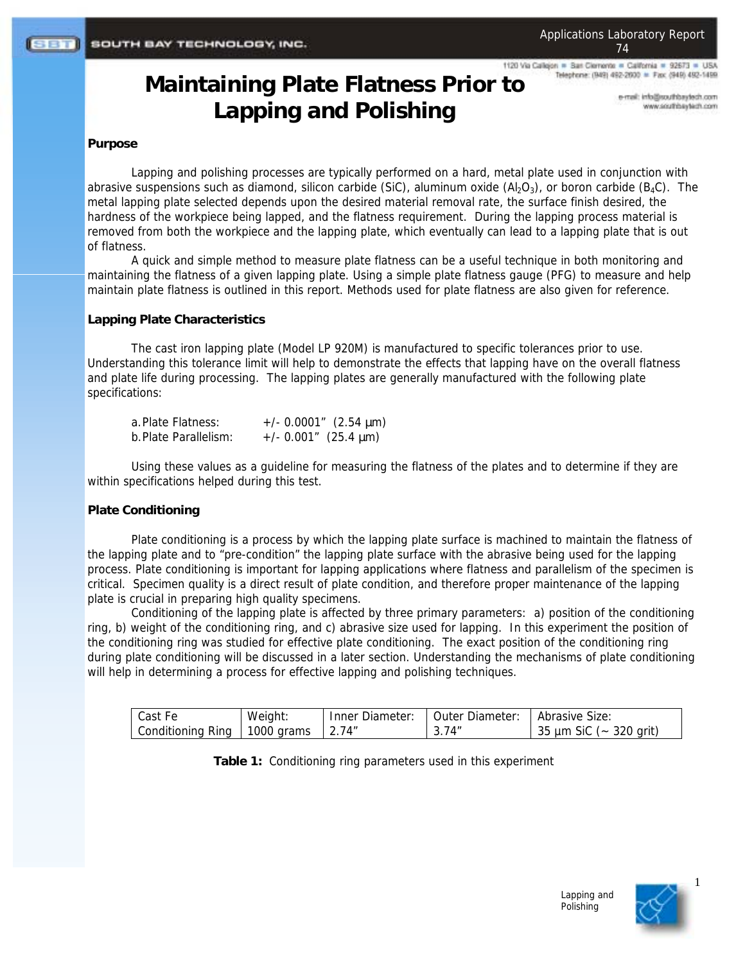1120 Via Calleion = San Clemente = California = 92673 = USA Telephone: (949) 492-2600 = Fax: (949) 492-1499

# **Maintaining Plate Flatness Prior to Lapping and Polishing**

#### **Purpose**

Lapping and polishing processes are typically performed on a hard, metal plate used in conjunction with abrasive suspensions such as diamond, silicon carbide (SiC), aluminum oxide  $(A<sub>1</sub>O<sub>3</sub>)$ , or boron carbide (B<sub>4</sub>C). The metal lapping plate selected depends upon the desired material removal rate, the surface finish desired, the hardness of the workpiece being lapped, and the flatness requirement. During the lapping process material is removed from both the workpiece and the lapping plate, which eventually can lead to a lapping plate that is out of flatness.

A quick and simple method to measure plate flatness can be a useful technique in both monitoring and maintaining the flatness of a given lapping plate. Using a simple plate flatness gauge (PFG) to measure and help maintain plate flatness is outlined in this report. Methods used for plate flatness are also given for reference.

## **Lapping Plate Characteristics**

The cast iron lapping plate (Model LP 920M) is manufactured to specific tolerances prior to use. Understanding this tolerance limit will help to demonstrate the effects that lapping have on the overall flatness and plate life during processing. The lapping plates are generally manufactured with the following plate specifications:

| a. Plate Flatness:   | $+/- 0.0001''$ (2.54 µm) |
|----------------------|--------------------------|
| b.Plate Parallelism: | $+/- 0.001''$ (25.4 µm)  |

Using these values as a guideline for measuring the flatness of the plates and to determine if they are within specifications helped during this test.

## **Plate Conditioning**

Plate conditioning is a process by which the lapping plate surface is machined to maintain the flatness of the lapping plate and to "pre-condition" the lapping plate surface with the abrasive being used for the lapping process. Plate conditioning is important for lapping applications where flatness and parallelism of the specimen is critical. Specimen quality is a direct result of plate condition, and therefore proper maintenance of the lapping plate is crucial in preparing high quality specimens.

Conditioning of the lapping plate is affected by three primary parameters: a) position of the conditioning ring, b) weight of the conditioning ring, and c) abrasive size used for lapping. In this experiment the position of the conditioning ring was studied for effective plate conditioning. The exact position of the conditioning ring during plate conditioning will be discussed in a later section. Understanding the mechanisms of plate conditioning will help in determining a process for effective lapping and polishing techniques.

| Cast Fe                        | Weight: | Inner Diameter: | Outer Diameter: | Abrasive Size:              |
|--------------------------------|---------|-----------------|-----------------|-----------------------------|
| Conditioning Ring   1000 grams |         |                 | 74″             | 35 $\mu$ m SiC (~ 320 grit) |

**Table 1:** Conditioning ring parameters used in this experiment

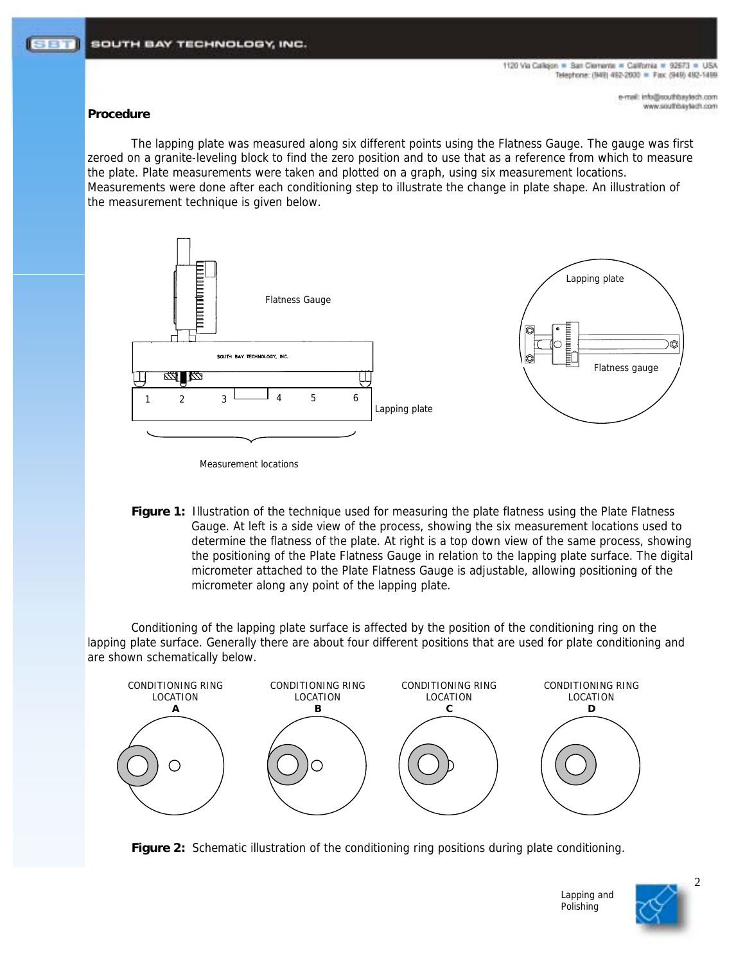1120 Via Calleion = San Clemente = California = 92673 = USA Telephone: (949) 492-2600 = Fax: (949) 492-1499

> e-mail: info@southbaytech.com www.southbaytech.com

#### **Procedure**

The lapping plate was measured along six different points using the Flatness Gauge. The gauge was first zeroed on a granite-leveling block to find the zero position and to use that as a reference from which to measure the plate. Plate measurements were taken and plotted on a graph, using six measurement locations. Measurements were done after each conditioning step to illustrate the change in plate shape. An illustration of the measurement technique is given below.



Measurement locations

**Figure 1:** Illustration of the technique used for measuring the plate flatness using the Plate Flatness Gauge. At left is a side view of the process, showing the six measurement locations used to determine the flatness of the plate. At right is a top down view of the same process, showing the positioning of the Plate Flatness Gauge in relation to the lapping plate surface. The digital micrometer attached to the Plate Flatness Gauge is adjustable, allowing positioning of the micrometer along any point of the lapping plate.

Conditioning of the lapping plate surface is affected by the position of the conditioning ring on the lapping plate surface. Generally there are about four different positions that are used for plate conditioning and are shown schematically below.



**Figure 2:** Schematic illustration of the conditioning ring positions during plate conditioning.



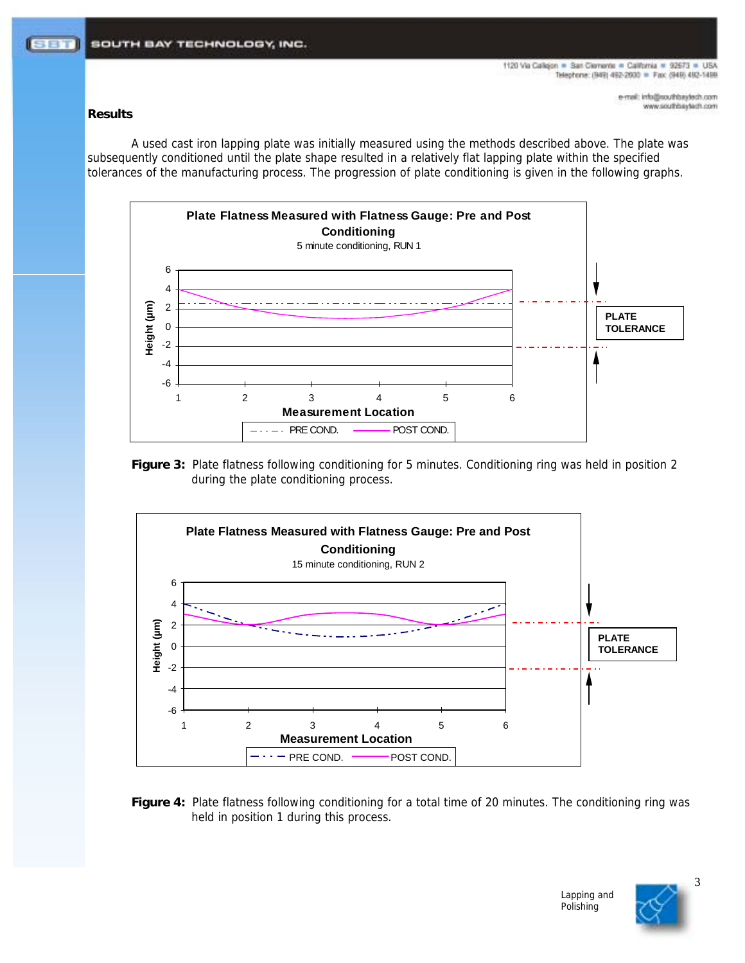1120 Via Calleion = San Clerrente = California = 92673 = USA Telephone: (949) 492-2600 = Fax: (949) 492-1499

# **Results**

A used cast iron lapping plate was initially measured using the methods described above. The plate was subsequently conditioned until the plate shape resulted in a relatively flat lapping plate within the specified tolerances of the manufacturing process. The progression of plate conditioning is given in the following graphs.







**Figure 4:** Plate flatness following conditioning for a total time of 20 minutes. The conditioning ring was held in position 1 during this process.

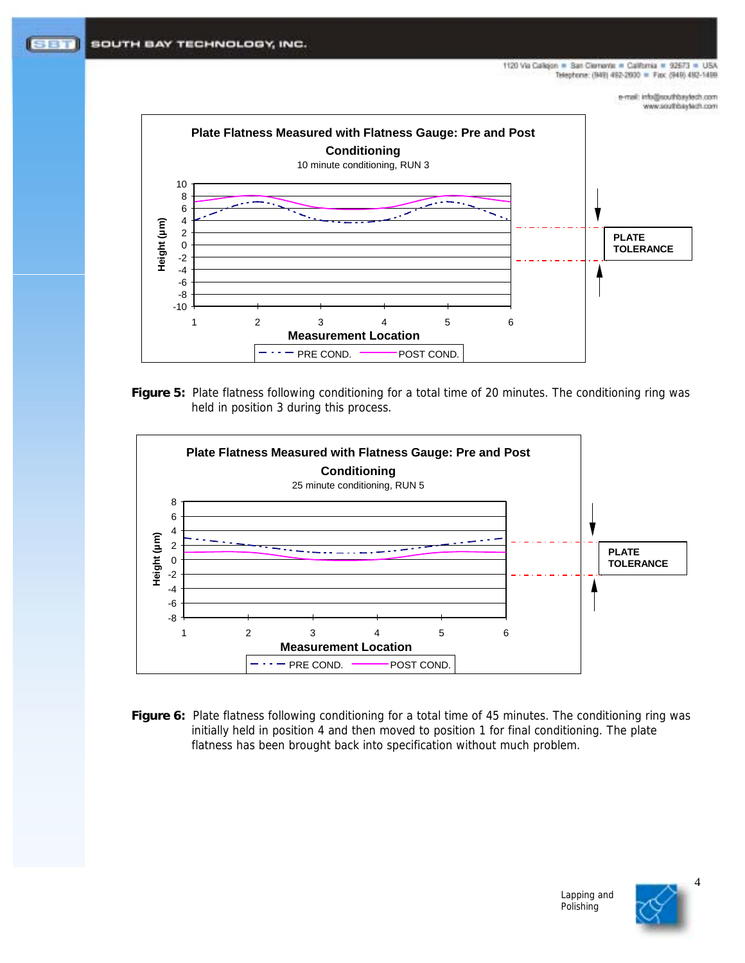

**Figure 5:** Plate flatness following conditioning for a total time of 20 minutes. The conditioning ring was held in position 3 during this process.



**Figure 6:** Plate flatness following conditioning for a total time of 45 minutes. The conditioning ring was initially held in position 4 and then moved to position 1 for final conditioning. The plate flatness has been brought back into specification without much problem.